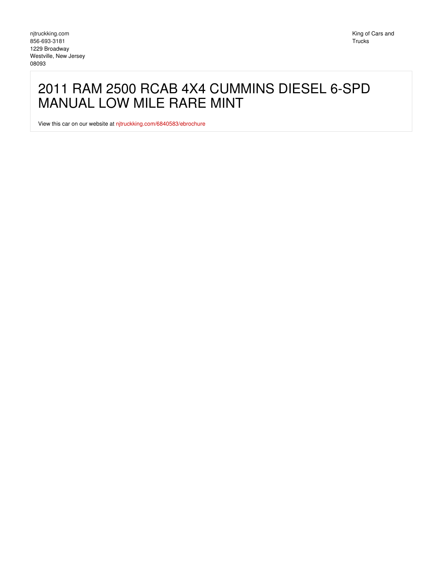## 2011 RAM 2500 RCAB 4X4 CUMMINS DIESEL 6-SPD MANUAL LOW MILE RARE MINT

View this car on our website at [njtruckking.com/6840583/ebrochure](https://njtruckking.com/vehicle/6840583/2011-ram-2500-rcab-4x4-cummins-diesel-6-spd-manual-low-mile-rare-mint-westville-new-jersey-08093/6840583/ebrochure)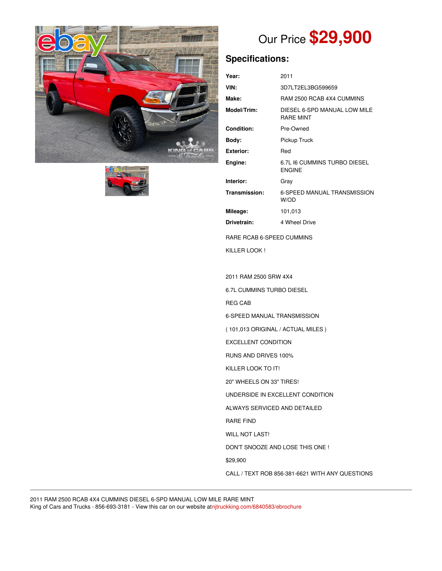



# Our Price **\$29,900**

## **Specifications:**

| Year:                     | 2011                                             |
|---------------------------|--------------------------------------------------|
| VIN:                      | 3D7LT2EL3BG599659                                |
| Make:                     | RAM 2500 RCAB 4X4 CUMMINS                        |
| Model/Trim:               | DIESEL 6-SPD MANUAL LOW MILE<br><b>RARF MINT</b> |
| Condition:                | Pre-Owned                                        |
| Body:                     | Pickup Truck                                     |
| <b>Exterior:</b>          | Red                                              |
| Engine:                   | 6.7L I6 CUMMINS TURBO DIESEL<br><b>ENGINE</b>    |
| Interior:                 | Gray                                             |
| Transmission:             | 6-SPEED MANUAL TRANSMISSION<br>W/OD              |
| Mileage:                  | 101,013                                          |
| Drivetrain:               | 4 Wheel Drive                                    |
| RARE RCAB 6-SPEED CUMMINS |                                                  |
| KILLER LOOK!              |                                                  |

2011 RAM 2500 SRW 4X4 6.7L CUMMINS TURBO DIESEL REG CAB 6-SPEED MANUAL TRANSMISSION ( 101,013 ORIGINAL / ACTUAL MILES ) EXCELLENT CONDITION RUNS AND DRIVES 100% KILLER LOOK TO IT! 20" WHEELS ON 33" TIRES! UNDERSIDE IN EXCELLENT CONDITION ALWAYS SERVICED AND DETAILED RARE FIND WILL NOT LAST! DON'T SNOOZE AND LOSE THIS ONE ! \$29,900 CALL / TEXT ROB 856-381-6621 WITH ANY QUESTIONS

2011 RAM 2500 RCAB 4X4 CUMMINS DIESEL 6-SPD MANUAL LOW MILE RARE MINT King of Cars and Trucks - 856-693-3181 - View this car on our website at[njtruckking.com/6840583/ebrochure](https://njtruckking.com/vehicle/6840583/2011-ram-2500-rcab-4x4-cummins-diesel-6-spd-manual-low-mile-rare-mint-westville-new-jersey-08093/6840583/ebrochure)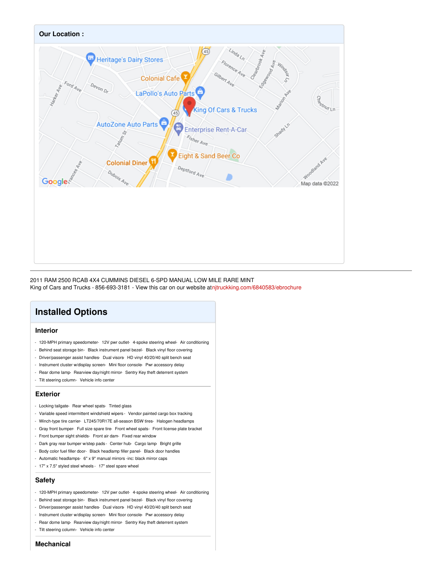

2011 RAM 2500 RCAB 4X4 CUMMINS DIESEL 6-SPD MANUAL LOW MILE RARE MINT King of Cars and Trucks - 856-693-3181 - View this car on our website at[njtruckking.com/6840583/ebrochure](https://njtruckking.com/vehicle/6840583/2011-ram-2500-rcab-4x4-cummins-diesel-6-spd-manual-low-mile-rare-mint-westville-new-jersey-08093/6840583/ebrochure)

### **Installed Options**

#### **Interior**

- 120-MPH primary speedometer- 12V pwr outlet- 4-spoke steering wheel- Air conditioning
- Behind seat storage bin- Black instrument panel bezel- Black vinyl floor covering
- Driver/passenger assist handles- Dual visors- HD vinyl 40/20/40 split bench seat
- Instrument cluster w/display screen- Mini floor console- Pwr accessory delay
- Rear dome lamp- Rearview day/night mirror- Sentry Key theft deterrent system
- Tilt steering column- Vehicle info center

#### **Exterior**

- Locking tailgate- Rear wheel spats- Tinted glass
- Variable speed intermittent windshield wipers Vendor painted cargo box tracking
- Winch-type tire carrier- LT245/70R17E all-season BSW tires- Halogen headlamps
- Gray front bumper- Full size spare tire- Front wheel spats- Front license plate bracket
- Front bumper sight shields- Front air dam- Fixed rear window
- Dark gray rear bumper w/step pads Center hub- Cargo lamp- Bright grille
- Body color fuel filler door- Black headlamp filler panel- Black door handles
- Automatic headlamps- 6" x 9" manual mirrors -inc: black mirror caps
- 17" x 7.5" styled steel wheels 17" steel spare wheel

#### **Safety**

- 120-MPH primary speedometer- 12V pwr outlet- 4-spoke steering wheel- Air conditioning
- Behind seat storage bin- Black instrument panel bezel- Black vinyl floor covering
- Driver/passenger assist handles- Dual visors- HD vinyl 40/20/40 split bench seat
- Instrument cluster w/display screen- Mini floor console- Pwr accessory delay
- Rear dome lamp- Rearview day/night mirror- Sentry Key theft deterrent system
- Tilt steering column- Vehicle info center

#### **Mechanical**